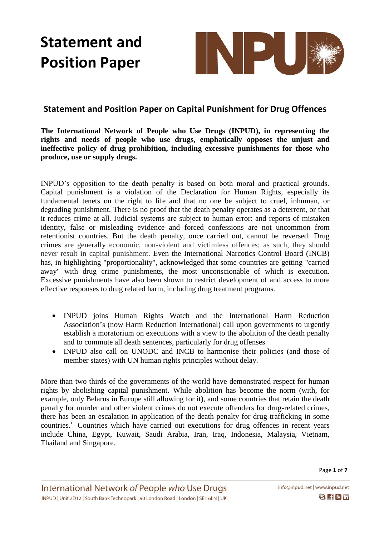

### **Statement and Position Paper on Capital Punishment for Drug Offences**

**The International Network of People who Use Drugs (INPUD), in representing the rights and needs of people who use drugs, emphatically opposes the unjust and ineffective policy of drug prohibition, including excessive punishments for those who produce, use or supply drugs.** 

INPUD's opposition to the death penalty is based on both moral and practical grounds. Capital punishment is a violation of the Declaration for Human Rights, especially its fundamental tenets on the right to life and that no one be subject to cruel, inhuman, or degrading punishment. There is no proof that the death penalty operates as a deterrent, or that it reduces crime at all. Judicial systems are subject to human error: and reports of mistaken identity, false or misleading evidence and forced confessions are not uncommon from retentionist countries. But the death penalty, once carried out, cannot be reversed. Drug crimes are generally economic, non-violent and victimless offences; as such, they should never result in capital punishment. Even the International Narcotics Control Board (INCB) has, in highlighting "proportionality", acknowledged that some countries are getting "carried away" with drug crime punishments, the most unconscionable of which is execution. Excessive punishments have also been shown to restrict development of and access to more effective responses to drug related harm, including drug treatment programs.

- INPUD joins Human Rights Watch and the International Harm Reduction Association's (now Harm Reduction International) call upon governments to urgently establish a moratorium on executions with a view to the abolition of the death penalty and to commute all death sentences, particularly for drug offenses
- INPUD also call on UNODC and INCB to harmonise their policies (and those of member states) with UN human rights principles without delay.

More than two thirds of the governments of the world have demonstrated respect for human rights by abolishing capital punishment. While abolition has become the norm (with, for example, only Belarus in Europe still allowing for it), and some countries that retain the death penalty for murder and other violent crimes do not execute offenders for drug-related crimes, there has been an escalation in application of the death penalty for drug trafficking in some countries.<sup>i</sup> Countries which have carried out executions for drug offences in recent years include China, Egypt, Kuwait, Saudi Arabia, Iran, Iraq, Indonesia, Malaysia, Vietnam, Thailand and Singapore.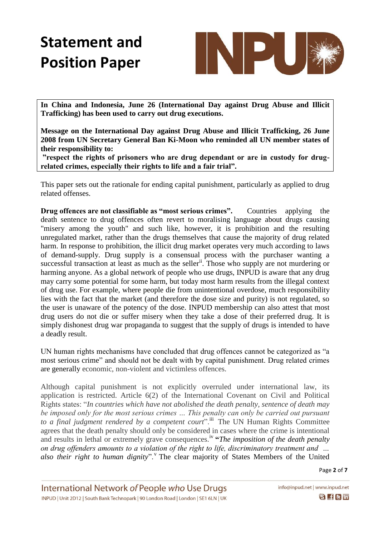

**In China and Indonesia, June 26 (International Day against Drug Abuse and Illicit Trafficking) has been used to carry out drug executions.**

**Message on the International Day against Drug Abuse and Illicit Trafficking, 26 June 2008 from UN Secretary General Ban Ki-Moon who reminded all UN member states of their responsibility to:**

**"respect the rights of prisoners who are drug dependant or are in custody for drugrelated crimes, especially their rights to life and a fair trial".** 

This paper sets out the rationale for ending capital punishment, particularly as applied to drug related offenses.

**Drug offences are not classifiable as "most serious crimes".** Countries applying the death sentence to drug offences often revert to moralising language about drugs causing "misery among the youth" and such like, however, it is prohibition and the resulting unregulated market, rather than the drugs themselves that cause the majority of drug related harm. In response to prohibition, the illicit drug market operates very much according to laws of demand-supply. Drug supply is a consensual process with the purchaser wanting a successful transaction at least as much as the seller<sup>ii</sup>. Those who supply are not murdering or harming anyone. As a global network of people who use drugs, INPUD is aware that any drug may carry some potential for some harm, but today most harm results from the illegal context of drug use. For example, where people die from unintentional overdose, much responsibility lies with the fact that the market (and therefore the dose size and purity) is not regulated, so the user is unaware of the potency of the dose. INPUD membership can also attest that most drug users do not die or suffer misery when they take a dose of their preferred drug. It is simply dishonest drug war propaganda to suggest that the supply of drugs is intended to have a deadly result.

UN human rights mechanisms have concluded that drug offences cannot be categorized as "a most serious crime" and should not be dealt with by capital punishment. Drug related crimes are generally economic, non-violent and victimless offences.

Although capital punishment is not explicitly overruled under international law, its application is restricted. Article 6(2) of the International Covenant on Civil and Political Rights states: "*In countries which have not abolished the death penalty, sentence of death may be imposed only for the most serious crimes … This penalty can only be carried out pursuant to a final judgment rendered by a competent court*".<sup>iii</sup> The UN Human Rights Committee agrees that the death penalty should only be considered in cases where the crime is intentional and results in lethal or extremely grave consequences.<sup>iv</sup> "*The imposition of the death penalty on drug offenders amounts to a violation of the right to life, discriminatory treatment and …*  also their right to human dignity". <sup>V</sup> The clear majority of States Members of the United

Page **2** of **7**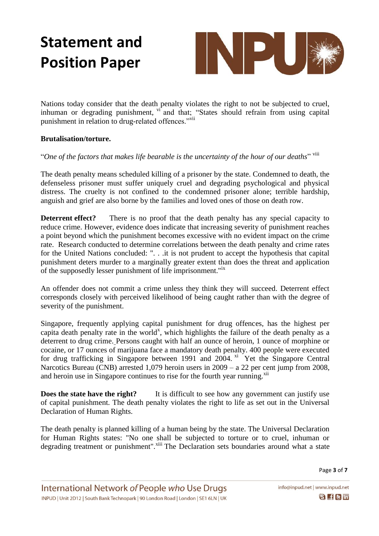

Nations today consider that the death penalty violates the right to not be subjected to cruel, inhuman or degrading punishment,  $\vec{v}$  and that; "States should refrain from using capital punishment in relation to drug-related offences."<sup>vii</sup>

#### **Brutalisation/torture.**

"*One of the factors that makes life bearable is the uncertainty of the hour of our deaths*" viii

The death penalty means scheduled killing of a prisoner by the state. Condemned to death, the defenseless prisoner must suffer uniquely cruel and degrading psychological and physical distress. The cruelty is not confined to the condemned prisoner alone; terrible hardship, anguish and grief are also borne by the families and loved ones of those on death row.

**Deterrent effect?** There is no proof that the death penalty has any special capacity to reduce crime. However, evidence does indicate that increasing severity of punishment reaches a point beyond which the punishment becomes excessive with no evident impact on the crime rate. Research conducted to determine correlations between the death penalty and crime rates for the United Nations concluded: ". . .it is not prudent to accept the hypothesis that capital punishment deters murder to a marginally greater extent than does the threat and application of the supposedly lesser punishment of life imprisonment."ix

An offender does not commit a crime unless they think they will succeed. Deterrent effect corresponds closely with perceived likelihood of being caught rather than with the degree of severity of the punishment.

Singapore, frequently applying capital punishment for drug offences, has the highest per capita death penalty rate in the world<sup>x</sup>, which highlights the failure of the death penalty as a deterrent to drug crime. Persons caught with half an ounce of heroin, 1 ounce of morphine or cocaine, or 17 ounces of marijuana face a mandatory death penalty. 400 people were executed for drug trafficking in Singapore between 1991 and 2004.  $\frac{x}{x}$  Yet the Singapore Central Narcotics Bureau (CNB) arrested 1,079 heroin users in 2009 – a 22 per cent jump from 2008, and heroin use in Singapore continues to rise for the fourth year running.<sup>xii</sup>

**Does the state have the right?** It is difficult to see how any government can justify use of capital punishment. The death penalty violates the right to life as set out in the Universal Declaration of Human Rights.

The death penalty is planned killing of a human being by the state. The Universal Declaration for Human Rights states: "No one shall be subjected to torture or to cruel, inhuman or degrading treatment or punishment".<sup>xiii</sup> The Declaration sets boundaries around what a state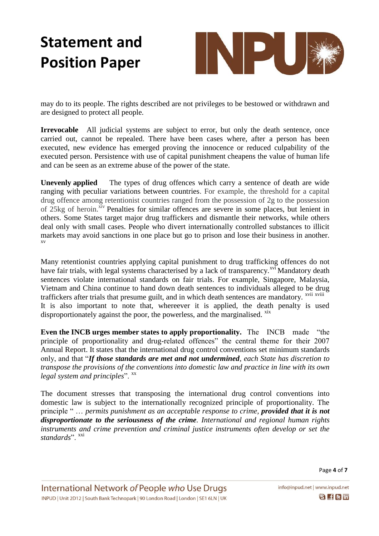

may do to its people. The rights described are not privileges to be bestowed or withdrawn and are designed to protect all people.

**Irrevocable** All judicial systems are subject to error, but only the death sentence, once carried out, cannot be repealed. There have been cases where, after a person has been executed, new evidence has emerged proving the innocence or reduced culpability of the executed person. Persistence with use of capital punishment cheapens the value of human life and can be seen as an extreme abuse of the power of the state.

**Unevenly applied** The types of drug offences which carry a sentence of death are wide ranging with peculiar variations between countries. For example, the threshold for a capital drug offence among retentionist countries ranged from the possession of 2g to the possession of 25kg of heroin.<sup>xiv</sup> Penalties for similar offences are severe in some places, but lenient in others. Some States target major drug traffickers and dismantle their networks, while others deal only with small cases. People who divert internationally controlled substances to illicit markets may avoid sanctions in one place but go to prison and lose their business in another. xv

Many retentionist countries applying capital punishment to drug trafficking offences do not have fair trials, with legal systems characterised by a lack of transparency.<sup>xvi</sup> Mandatory death sentences violate international standards on fair trials. For example, Singapore, Malaysia, Vietnam and China continue to hand down death sentences to individuals alleged to be drug traffickers after trials that presume guilt, and in which death sentences are mandatory. <sup>xvii xviii</sup> It is also important to note that, whereever it is applied, the death penalty is used disproportionately against the poor, the powerless, and the marginalised.  $\frac{X}{X}$ 

**Even the INCB urges member states to apply proportionality.** The INCB made "the principle of proportionality and drug-related offences" the central theme for their 2007 Annual Report. It states that the international drug control conventions set minimum standards only, and that "*If those standards are met and not undermined, each State has discretion to transpose the provisions of the conventions into domestic law and practice in line with its own legal system and principles*". <sup>xx</sup>

The document stresses that transposing the international drug control conventions into domestic law is subject to the internationally recognized principle of proportionality. The principle " … *permits punishment as an acceptable response to crime, provided that it is not disproportionate to the seriousness of the crime. International and regional human rights instruments and crime prevention and criminal justice instruments often develop or set the*  standards". <sup>xxi</sup>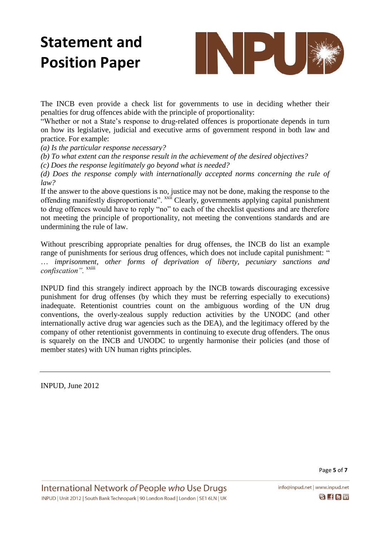

The INCB even provide a check list for governments to use in deciding whether their penalties for drug offences abide with the principle of proportionality:

"Whether or not a State's response to drug-related offences is proportionate depends in turn on how its legislative, judicial and executive arms of government respond in both law and practice. For example:

*(a) Is the particular response necessary?*

*(b) To what extent can the response result in the achievement of the desired objectives?*

*(c) Does the response legitimately go beyond what is needed?*

*(d) Does the response comply with internationally accepted norms concerning the rule of law?*

If the answer to the above questions is no, justice may not be done, making the response to the offending manifestly disproportionate". xxii Clearly, governments applying capital punishment to drug offences would have to reply "no" to each of the checklist questions and are therefore not meeting the principle of proportionality, not meeting the conventions standards and are undermining the rule of law.

Without prescribing appropriate penalties for drug offenses, the INCB do list an example range of punishments for serious drug offences, which does not include capital punishment: " … *imprisonment, other forms of deprivation of liberty, pecuniary sanctions and confiscation".*<sup>xxiii</sup>

INPUD find this strangely indirect approach by the INCB towards discouraging excessive punishment for drug offenses (by which they must be referring especially to executions) inadequate. Retentionist countries count on the ambiguous wording of the UN drug conventions, the overly-zealous supply reduction activities by the UNODC (and other internationally active drug war agencies such as the DEA), and the legitimacy offered by the company of other retentionist governments in continuing to execute drug offenders. The onus is squarely on the INCB and UNODC to urgently harmonise their policies (and those of member states) with UN human rights principles.

INPUD, June 2012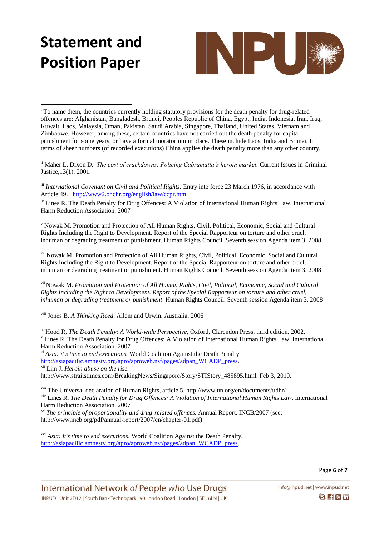

 $\overline{a}$ <sup>i</sup> To name them, the countries currently holding statutory provisions for the death penalty for drug-related offences are[: Afghanistan,](http://en.wikipedia.org/wiki/Afghanistan) [Bangladesh,](http://en.wikipedia.org/wiki/Bangladesh) [Brunei,](http://en.wikipedia.org/wiki/Brunei) [Peoples Republic of China,](http://en.wikipedia.org/wiki/Peoples_Republic_of_China) [Egypt,](http://en.wikipedia.org/wiki/Egypt) [India,](http://en.wikipedia.org/wiki/India) [Indonesia,](http://en.wikipedia.org/wiki/Indonesia) [Iran,](http://en.wikipedia.org/wiki/Iran) [Iraq,](http://en.wikipedia.org/wiki/Iraq) [Kuwait,](http://en.wikipedia.org/wiki/Kuwait) [Laos,](http://en.wikipedia.org/wiki/Laos) [Malaysia,](http://en.wikipedia.org/wiki/Malaysia) [Oman,](http://en.wikipedia.org/wiki/Oman) [Pakistan,](http://en.wikipedia.org/wiki/Pakistan) [Saudi Arabia,](http://en.wikipedia.org/wiki/Saudi_Arabia) [Singapore,](http://en.wikipedia.org/wiki/Singapore) [Thailand,](http://en.wikipedia.org/wiki/Thailand) [United States,](http://en.wikipedia.org/wiki/United_States) [Vietnam](http://en.wikipedia.org/wiki/Vietnam) and [Zimbabwe.](http://en.wikipedia.org/wiki/Zimbabwe) However, among these, certain countries have not carried out the death penalty for capital punishment for some years, or have a formal moratorium in place. These include Laos, India and Brunei. In terms of sheer numbers (of recorded executions) China applies the death penalty more than any other country.

ii Maher L, Dixon D. *The cost of crackdowns: Policing Cabramatta's heroin market.* Current Issues in Criminal Justice,13(1). 2001.

iii *International Covenant on Civil and Political Rights*. Entry into force 23 March 1976, in accordance with Article 49. <http://www2.ohchr.org/english/law/ccpr.htm>

<sup>iv</sup> Lines R. The Death Penalty for Drug Offences: A Violation of International Human Rights Law. International Harm Reduction Association. 2007

<sup>v</sup> Nowak M. Promotion and Protection of All Human Rights, Civil, Political, Economic, Social and Cultural Rights Including the Right to Development. Report of the Special Rapporteur on torture and other cruel, inhuman or degrading treatment or punishment. Human Rights Council. Seventh session Agenda item 3. 2008

vi Nowak M. Promotion and Protection of All Human Rights, Civil, Political, Economic, Social and Cultural Rights Including the Right to Development. Report of the Special Rapporteur on torture and other cruel, inhuman or degrading treatment or punishment. Human Rights Council. Seventh session Agenda item 3. 2008

vii Nowak M. *Promotion and Protection of All Human Rights, Civil, Political, Economic, Social and Cultural Rights Including the Right to Development. Report of the Special Rapporteur on torture and other cruel, inhuman or degrading treatment or punishment*. Human Rights Council. Seventh session Agenda item 3. 2008

viii Jones B. *A Thinking Reed*. Allem and Urwin. Australia. 2006

ix Hood R, *The Death Penalty: A World-wide Perspective,* Oxford, Clarendon Press, third edition, 2002, <sup>x</sup> Lines R. The Death Penalty for Drug Offences: A Violation of International Human Rights Law. International Harm Reduction Association. 2007

xi *Asia: it's time to end executions.* World Coalition Against the Death Penalty. [http://asiapacific.amnesty.org/apro/aproweb.nsf/pages/adpan\\_WCADP\\_press.](http://asiapacific.amnesty.org/apro/aproweb.nsf/pages/adpan_WCADP_press)

xii Lim J. *Heroin abuse on the rise.*

http://www.straitstimes.com/BreakingNews/Singapore/Story/STIStory 485895.html. Feb 3, 2010.

xiii The Universal declaration of Human Rights, article 5. http://www.un.org/en/documents/udhr/ xiv Lines R. *The Death Penalty for Drug Offences: A Violation of International Human Rights Law*. International Harm Reduction Association. 2007

xv *The principle of proportionality and drug-related offences.* Annual Report. INCB/2007 (see: [http://www.incb.org/pdf/annual-report/2007/en/chapter-01.pdf\)](http://www.incb.org/pdf/annual-report/2007/en/chapter-01.pdf)

xvi *Asia: it's time to end executions.* World Coalition Against the Death Penalty. [http://asiapacific.amnesty.org/apro/aproweb.nsf/pages/adpan\\_WCADP\\_press.](http://asiapacific.amnesty.org/apro/aproweb.nsf/pages/adpan_WCADP_press)

info@inpud.net | www.inpud.net